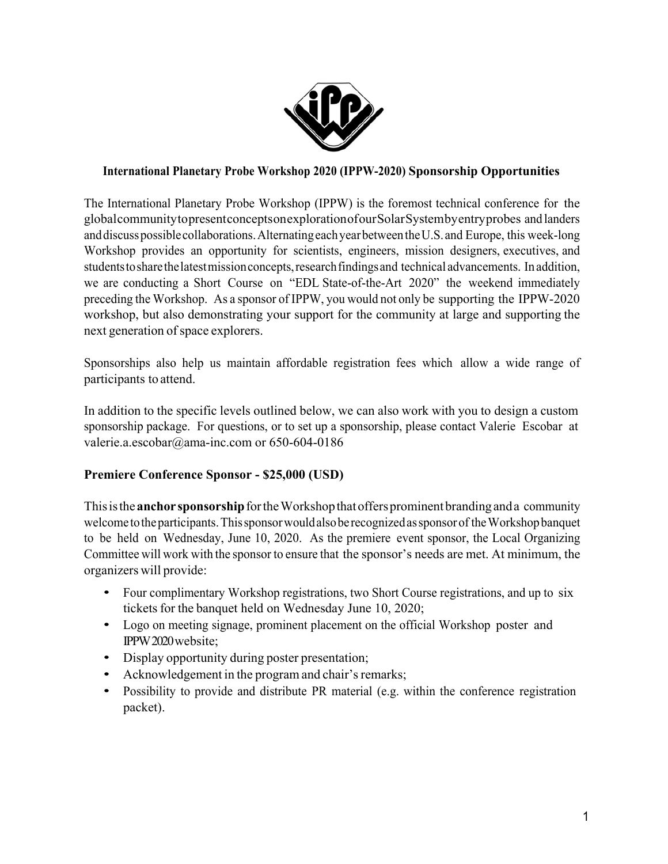

#### **International Planetary Probe Workshop 2020 (IPPW-2020) Sponsorship Opportunities**

The International Planetary Probe Workshop (IPPW) is the foremost technical conference for the global community to present concepts on exploration of our Solar System by entry probes and landers and discuss possible collaborations. Alternating each year between the U.S. and Europe, this week-long Workshop provides an opportunity for scientists, engineers, mission designers, executives, and students to share the latest mission concepts, research findings and technical advancements. In addition, we are conducting a Short Course on "EDL State-of-the-Art 2020" the weekend immediately preceding the Workshop. As a sponsor of IPPW, you would not only be supporting the IPPW-2020 workshop, but also demonstrating your support for the community at large and supporting the next generation of space explorers.

Sponsorships also help us maintain affordable registration fees which allow a wide range of participants to attend.

In addition to the specific levels outlined below, we can also work with you to design a custom sponsorship package. For questions, or to set up a sponsorship, please contact Valerie Escobar at valerie.a.escobar@ama-inc.com or 650-604-0186

#### **Premiere Conference Sponsor - \$25,000 (USD)**

This is the **anchor sponsorship** for the Workshop that offers prominent branding and a community welcome to the participants. This sponsor would also be recognized as sponsor of the Workshop banquet to be held on Wednesday, June 10, 2020. As the premiere event sponsor, the Local Organizing Committee will work with the sponsor to ensure that the sponsor's needs are met. At minimum, the organizers will provide:

- Four complimentary Workshop registrations, two Short Course registrations, and up to six tickets for the banquet held on Wednesday June 10, 2020;
- Logo on meeting signage, prominent placement on the official Workshop poster and IPPW 2020 website;
- Display opportunity during poster presentation;
- Acknowledgement in the program and chair's remarks;
- Possibility to provide and distribute PR material (e.g. within the conference registration packet).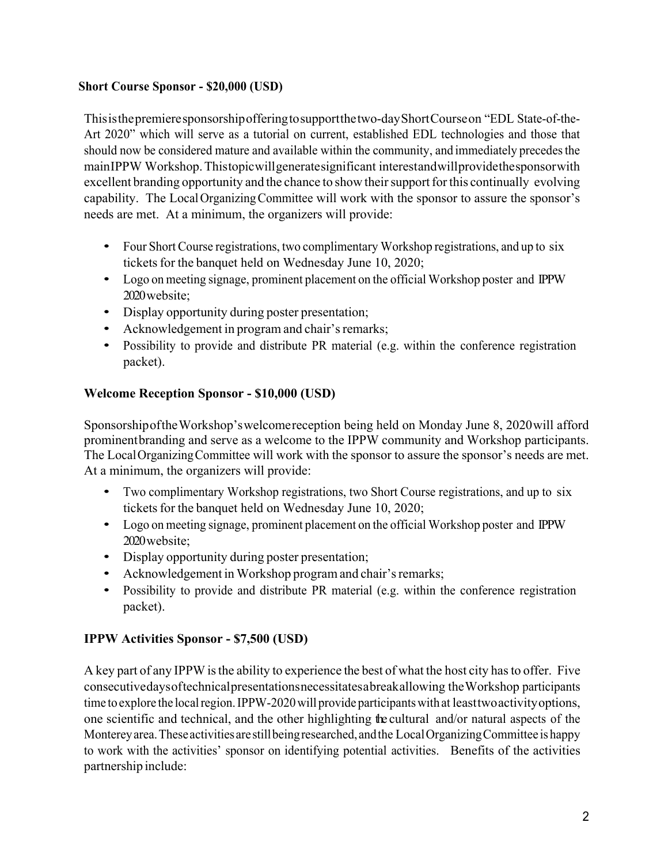### **Short Course Sponsor - \$20,000 (USD)**

This is the premiere sponsorship offering to support the two-day Short Course on "EDL State-of-the-Art 2020" which will serve as a tutorial on current, established EDL technologies and those that should now be considered mature and available within the community, and immediately precedes the main IPPW Workshop. This topic will generate significant interest and will provide the sponsor with excellent branding opportunity and the chance to show their support for this continually evolving capability. The Local Organizing Committee will work with the sponsor to assure the sponsor's needs are met. At a minimum, the organizers will provide:

- Four Short Course registrations, two complimentary Workshop registrations, and up to six tickets for the banquet held on Wednesday June 10, 2020;
- Logo on meeting signage, prominent placement on the official Workshop poster and IPPW 2020 website;
- Display opportunity during poster presentation;
- Acknowledgement in program and chair's remarks;
- Possibility to provide and distribute PR material (e.g. within the conference registration packet).

### **Welcome Reception Sponsor - \$10,000 (USD)**

Sponsorship of the Workshop's welcome reception being held on Monday June 8, 2020 will afford prominent branding and serve as a welcome to the IPPW community and Workshop participants. The Local Organizing Committee will work with the sponsor to assure the sponsor's needs are met. At a minimum, the organizers will provide:

- Two complimentary Workshop registrations, two Short Course registrations, and up to six tickets for the banquet held on Wednesday June 10, 2020;
- Logo on meeting signage, prominent placement on the official Workshop poster and IPPW 2020 website;
- Display opportunity during poster presentation;
- Acknowledgement in Workshop program and chair's remarks;
- Possibility to provide and distribute PR material (e.g. within the conference registration packet).

## **IPPW Activities Sponsor - \$7,500 (USD)**

A key part of any IPPW is the ability to experience the best of what the host city has to offer. Five consecutive days of technical presentations necessitates a break allowing the Workshop participants time to explore the local region. IPPW-2020 will provide participants with at least two activity options, one scientific and technical, and the other highlighting the cultural and/or natural aspects of the Monterey area. These activities are still being researched, and the Local Organizing Committee is happy to work with the activities' sponsor on identifying potential activities. Benefits of the activities partnership include: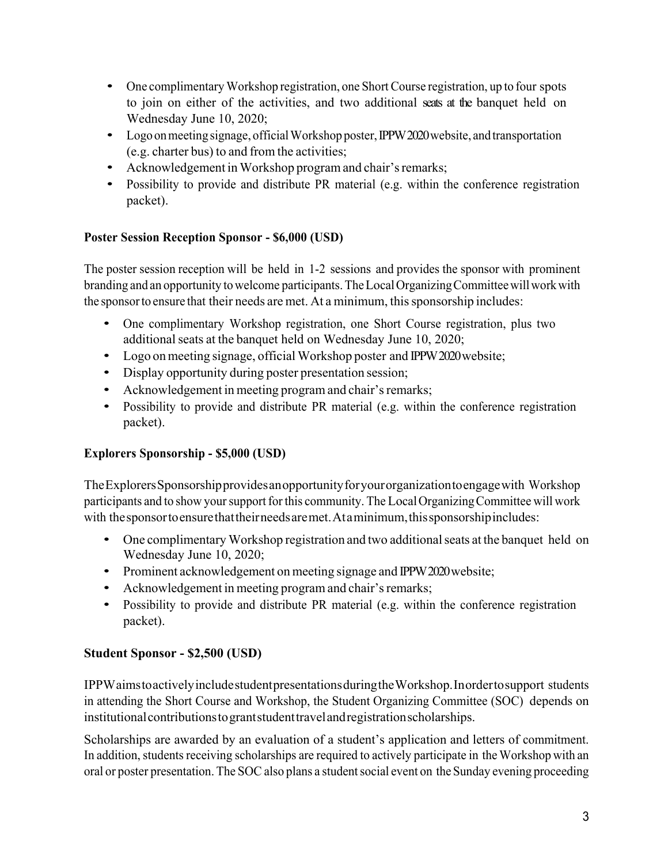- One complimentary Workshop registration, one Short Course registration, up to four spots to join on either of the activities, and two additional seats at the banquet held on Wednesday June 10, 2020;
- Logo on meeting signage, official Workshop poster, IPPW 2020 website, and transportation (e.g. charter bus) to and from the activities;
- Acknowledgement in Workshop program and chair's remarks;
- Possibility to provide and distribute PR material (e.g. within the conference registration packet).

## **Poster Session Reception Sponsor - \$6,000 (USD)**

The poster session reception will be held in 1-2 sessions and provides the sponsor with prominent branding and an opportunity to welcome participants. The Local Organizing Committee will work with the sponsor to ensure that their needs are met. At a minimum, this sponsorship includes:

- One complimentary Workshop registration, one Short Course registration, plus two additional seats at the banquet held on Wednesday June 10, 2020;
- Logo on meeting signage, official Workshop poster and IPPW 2020 website;
- Display opportunity during poster presentation session;
- Acknowledgement in meeting program and chair's remarks;
- Possibility to provide and distribute PR material (e.g. within the conference registration packet).

# **Explorers Sponsorship - \$5,000 (USD)**

The Explorers Sponsorship provides an opportunity for your organization to engage with Workshop participants and to show your support for this community. The Local Organizing Committee will work with the sponsor to ensure that their needs are met. At a minimum, this sponsorship includes:

- One complimentary Workshop registration and two additional seats at the banquet held on Wednesday June 10, 2020;
- Prominent acknowledgement on meeting signage and IPPW 2020 website;
- Acknowledgement in meeting program and chair's remarks;
- Possibility to provide and distribute PR material (e.g. within the conference registration packet).

# **Student Sponsor - \$2,500 (USD)**

IPPW aims to actively include student presentations during the Workshop. In order to support students in attending the Short Course and Workshop, the Student Organizing Committee (SOC) depends on institutional contributions to grant student travel and registration scholarships.

Scholarships are awarded by an evaluation of a student's application and letters of commitment. In addition, students receiving scholarships are required to actively participate in the Workshop with an oral or poster presentation. The SOC also plans a student social event on the Sunday evening proceeding